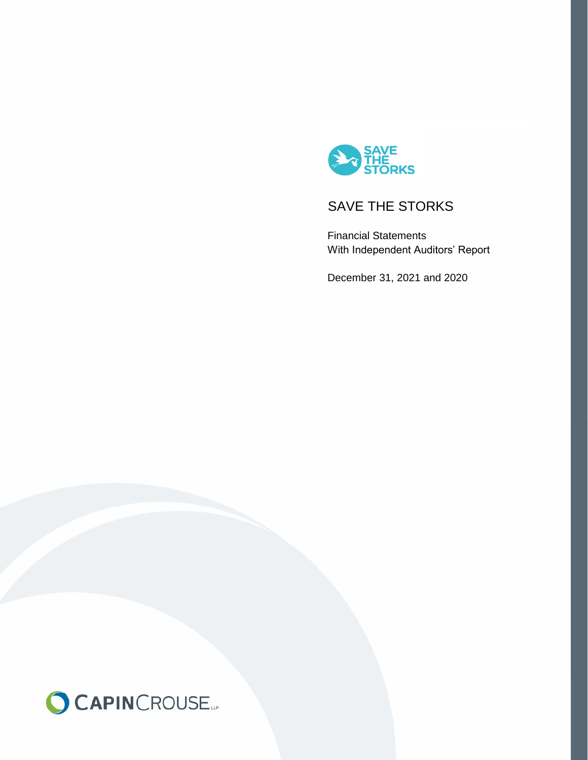

Financial Statements With Independent Auditors' Report

December 31, 2021 and 2020

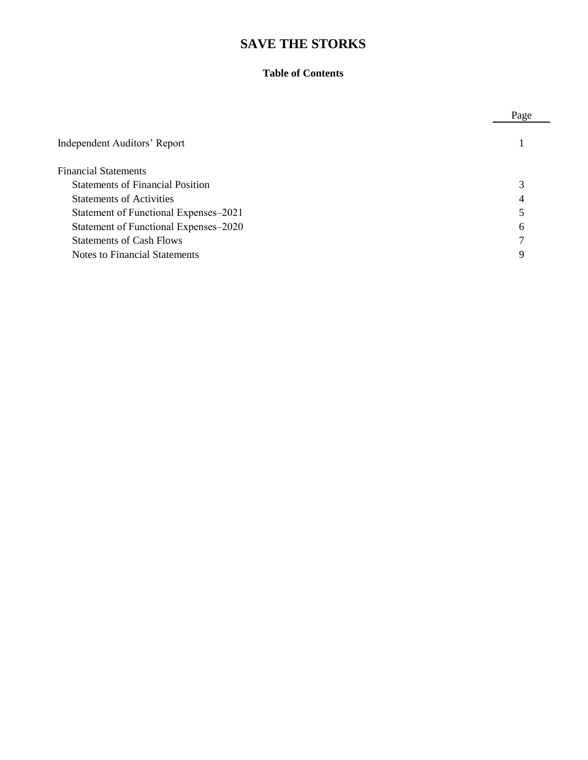#### **Table of Contents**

|                                         | Page |
|-----------------------------------------|------|
| Independent Auditors' Report            |      |
| <b>Financial Statements</b>             |      |
| <b>Statements of Financial Position</b> | 3    |
| <b>Statements of Activities</b>         | 4    |
| Statement of Functional Expenses-2021   |      |
| Statement of Functional Expenses-2020   | 6    |
| <b>Statements of Cash Flows</b>         | 7    |
| <b>Notes to Financial Statements</b>    | 9    |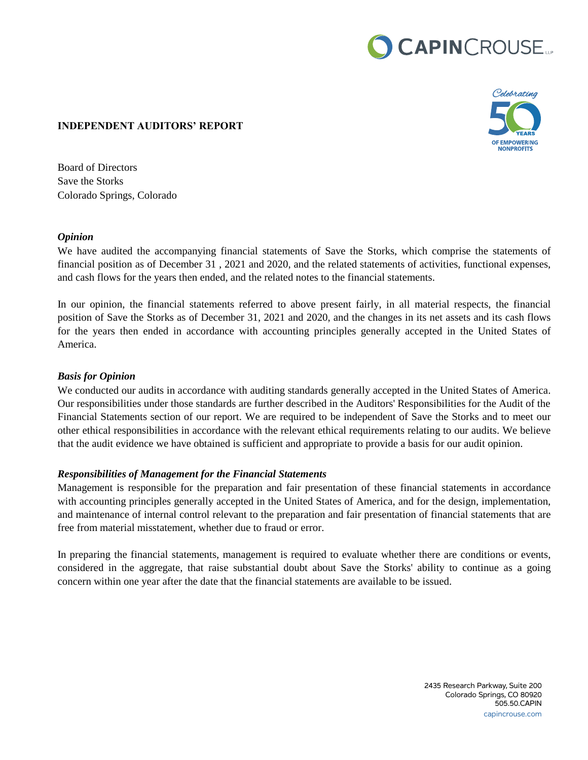# CAPINCROUSE.

#### **INDEPENDENT AUDITORS' REPORT**



Board of Directors Save the Storks Colorado Springs, Colorado

#### *Opinion*

We have audited the accompanying financial statements of Save the Storks, which comprise the statements of financial position as of December 31 , 2021 and 2020, and the related statements of activities, functional expenses, and cash flows for the years then ended, and the related notes to the financial statements.

In our opinion, the financial statements referred to above present fairly, in all material respects, the financial position of Save the Storks as of December 31, 2021 and 2020, and the changes in its net assets and its cash flows for the years then ended in accordance with accounting principles generally accepted in the United States of America.

#### *Basis for Opinion*

We conducted our audits in accordance with auditing standards generally accepted in the United States of America. Our responsibilities under those standards are further described in the Auditors' Responsibilities for the Audit of the Financial Statements section of our report. We are required to be independent of Save the Storks and to meet our other ethical responsibilities in accordance with the relevant ethical requirements relating to our audits. We believe that the audit evidence we have obtained is sufficient and appropriate to provide a basis for our audit opinion.

#### *Responsibilities of Management for the Financial Statements*

Management is responsible for the preparation and fair presentation of these financial statements in accordance with accounting principles generally accepted in the United States of America, and for the design, implementation, and maintenance of internal control relevant to the preparation and fair presentation of financial statements that are free from material misstatement, whether due to fraud or error.

In preparing the financial statements, management is required to evaluate whether there are conditions or events, considered in the aggregate, that raise substantial doubt about Save the Storks' ability to continue as a going concern within one year after the date that the financial statements are available to be issued.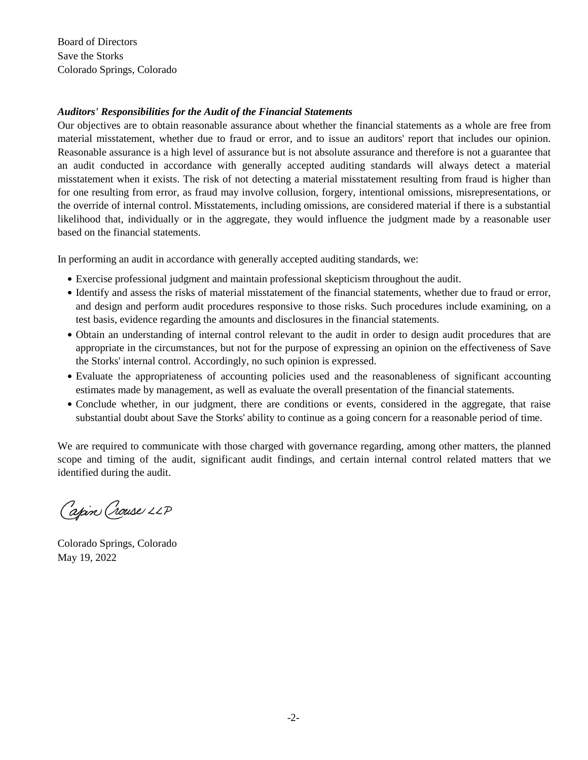Board of Directors Save the Storks Colorado Springs, Colorado

# Auditors' <mark>R</mark>esponsibilities for the Audit of the Financial Statements

Our objectives are to obtain reasonable assurance about whether the financial statements as a whole are free from material misstatement, whether due to fraud or error, and to issue an auditors' report that includes our opinion. Reasonable assurance is a high level of assurance but is not absolute assurance and therefore is not a guarantee that an audit conducted in accordance with generally accepted auditing standards will always detect a material misstatement when it exists. The risk of not detecting a material misstatement resulting from fraud is higher than Instructure when it exists. The fisk of not detecting a material instruction resulting from fraud is inglier than<br>For one resulting from error, as fraud may involve collusion, forgery, intentional omissions, misrepresentat the override of internal control. Misstatements, including omissions, are considered material if there is a substantial likelihood that, individually or in the aggregate, they would influence the judgment made by a reasonable user mentious analysiantly of m and aggregate, and would infinance and july matter made by a reasonable asset 31, 2012 and 2011, and 2011, and the relations of activities and cash flows for the years then ended. Then ended. The years then ended. The years then ended. The years then ended. The years then ended. The years then ended

In performing an audit in accordance with generally accepted auditing standards, we: In performing an addit in decordance with generally accep-

- Exercise professional judgment and maintain professional skepticism throughout the audit.
- Identify and assess the risks of material misstatement of the financial statements, whether due to fraud or error, and design and perform audit procedures responsive to those risks. Such procedures include examining, on a test basis, evidence regarding the amounts and disclosures in the financial statements.
- · Obtain an understanding of internal control relevant to the audit in order to design audit procedures that are appropriate in the circumstances, but not for the purpose of expressing an opinion on the effectiveness of Save the Storks' internal control. Accordingly, no such opinion is expressed.
- Evaluate the appropriateness of accounting policies used and the reasonableness of significant accounting estimates made by management, as well as evaluate the overall presentation of the financial statements.
- Conclude whether, in our judgment, there are conditions or events, considered in the aggregate, that raise substantial doubt about Save the Storks' ability to continue as a going concern for a reasonable period of time.

We are required to communicate with those charged with governance regarding, among other matters, the planned scope and timing of the audit, significant audit findings, and certain internal control related matters that we identified during the audit.

Capin Crouse LLP

Colorado Springs, Colorado May 19, 2022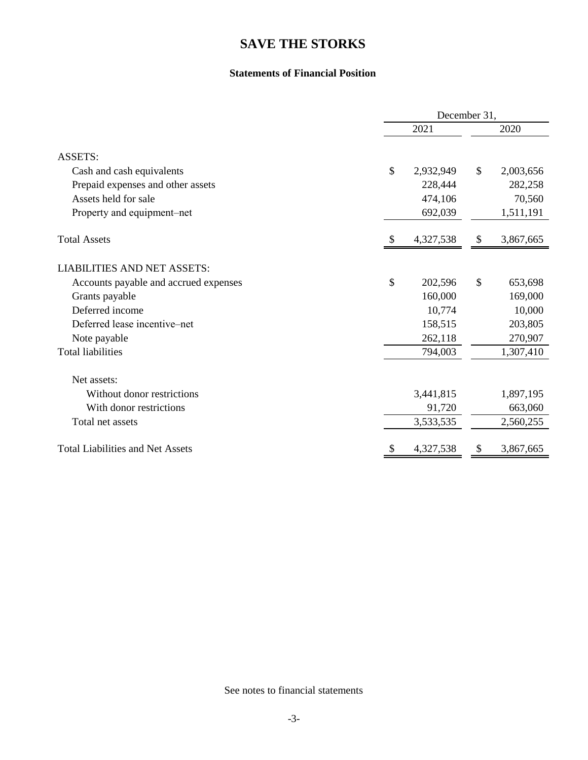#### **Statements of Financial Position**

|                                         | December 31,  |           |               |           |  |
|-----------------------------------------|---------------|-----------|---------------|-----------|--|
|                                         |               | 2021      |               | 2020      |  |
| <b>ASSETS:</b>                          |               |           |               |           |  |
| Cash and cash equivalents               | $\mathcal{S}$ | 2,932,949 | \$            | 2,003,656 |  |
| Prepaid expenses and other assets       |               | 228,444   |               | 282,258   |  |
| Assets held for sale                    |               | 474,106   |               | 70,560    |  |
| Property and equipment–net              |               | 692,039   |               | 1,511,191 |  |
| <b>Total Assets</b>                     |               | 4,327,538 | \$            | 3,867,665 |  |
| <b>LIABILITIES AND NET ASSETS:</b>      |               |           |               |           |  |
| Accounts payable and accrued expenses   | \$            | 202,596   | $\mathcal{S}$ | 653,698   |  |
| Grants payable                          |               | 160,000   |               | 169,000   |  |
| Deferred income                         |               | 10,774    |               | 10,000    |  |
| Deferred lease incentive–net            |               | 158,515   |               | 203,805   |  |
| Note payable                            |               | 262,118   |               | 270,907   |  |
| <b>Total liabilities</b>                |               | 794,003   |               | 1,307,410 |  |
| Net assets:                             |               |           |               |           |  |
| Without donor restrictions              |               | 3,441,815 |               | 1,897,195 |  |
| With donor restrictions                 |               | 91,720    |               | 663,060   |  |
| Total net assets                        |               | 3,533,535 |               | 2,560,255 |  |
| <b>Total Liabilities and Net Assets</b> |               | 4,327,538 | \$            | 3,867,665 |  |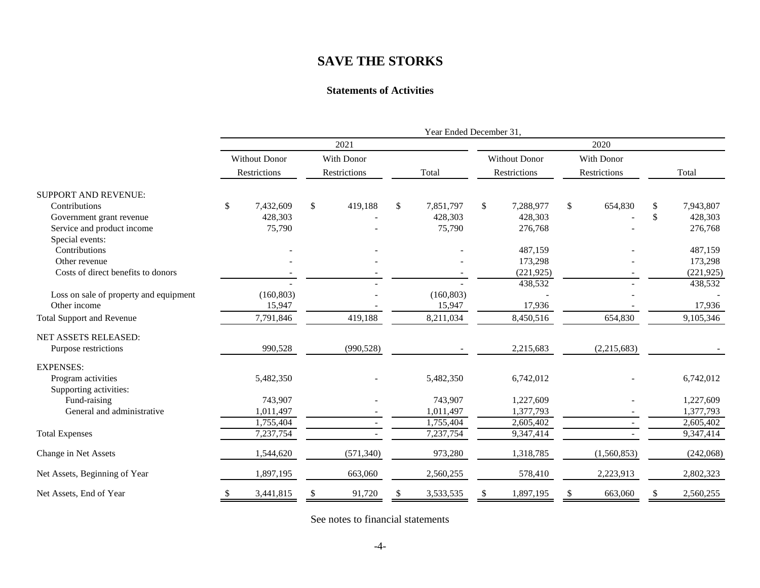#### **Statements of Activities**

|                                        |                      |               |                 | Year Ended December 31, |               |                 |
|----------------------------------------|----------------------|---------------|-----------------|-------------------------|---------------|-----------------|
|                                        |                      | 2021          |                 |                         |               |                 |
|                                        | <b>Without Donor</b> | With Donor    |                 | <b>Without Donor</b>    | With Donor    |                 |
|                                        | Restrictions         | Restrictions  | Total           | Restrictions            | Restrictions  | Total           |
| <b>SUPPORT AND REVENUE:</b>            |                      |               |                 |                         |               |                 |
| Contributions                          | 7,432,609<br>\$      | \$<br>419,188 | \$<br>7,851,797 | 7,288,977<br>\$         | 654,830<br>\$ | \$<br>7,943,807 |
| Government grant revenue               | 428,303              |               | 428,303         | 428,303                 |               | \$<br>428,303   |
| Service and product income             | 75,790               |               | 75,790          | 276,768                 |               | 276,768         |
| Special events:                        |                      |               |                 |                         |               |                 |
| Contributions                          |                      |               |                 | 487,159                 |               | 487,159         |
| Other revenue                          |                      |               |                 | 173,298                 |               | 173,298         |
| Costs of direct benefits to donors     |                      |               |                 | (221, 925)              |               | (221, 925)      |
|                                        |                      |               |                 | 438,532                 |               | 438,532         |
| Loss on sale of property and equipment | (160, 803)           |               | (160, 803)      |                         |               |                 |
| Other income                           | 15,947               |               | 15,947          | 17,936                  |               | 17,936          |
| <b>Total Support and Revenue</b>       | 7,791,846            | 419,188       | 8,211,034       | 8,450,516               | 654,830       | 9,105,346       |
| NET ASSETS RELEASED:                   |                      |               |                 |                         |               |                 |
| Purpose restrictions                   | 990,528              | (990, 528)    |                 | 2,215,683               | (2,215,683)   |                 |
| <b>EXPENSES:</b>                       |                      |               |                 |                         |               |                 |
| Program activities                     | 5,482,350            |               | 5,482,350       | 6,742,012               |               | 6,742,012       |
| Supporting activities:                 |                      |               |                 |                         |               |                 |
| Fund-raising                           | 743,907              |               | 743,907         | 1,227,609               |               | 1,227,609       |
| General and administrative             | 1,011,497            |               | 1,011,497       | 1,377,793               |               | 1,377,793       |
|                                        | 1,755,404            |               | 1,755,404       | 2,605,402               |               | 2,605,402       |
| <b>Total Expenses</b>                  | 7,237,754            |               | 7,237,754       | 9,347,414               |               | 9,347,414       |
| Change in Net Assets                   | 1,544,620            | (571, 340)    | 973,280         | 1,318,785               | (1,560,853)   | (242,068)       |
| Net Assets, Beginning of Year          | 1,897,195            | 663,060       | 2,560,255       | 578,410                 | 2,223,913     | 2,802,323       |
| Net Assets, End of Year                | 3,441,815<br>\$      | 91,720<br>\$  | 3,533,535<br>\$ | 1,897,195<br>\$.        | 663,060<br>\$ | 2,560,255<br>\$ |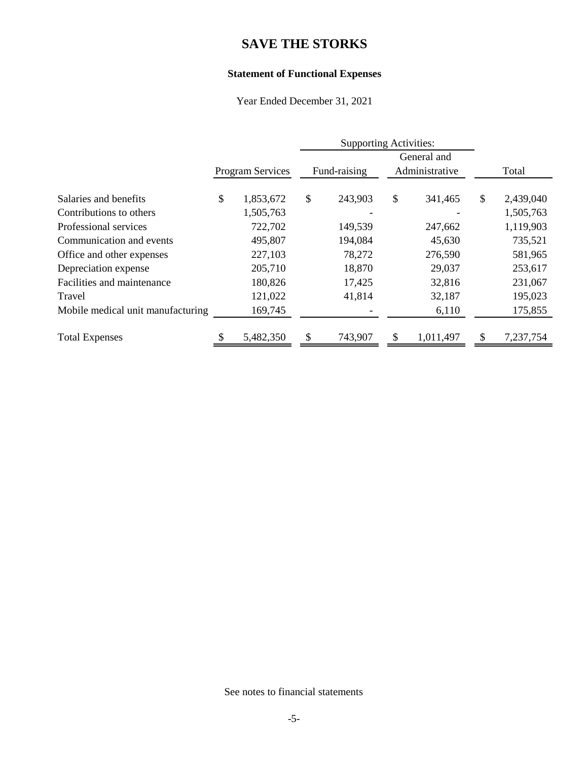### **Statement of Functional Expenses**

Year Ended December 31, 2021

|                                   |                         | <b>Supporting Activities:</b> |              |               |                |                 |
|-----------------------------------|-------------------------|-------------------------------|--------------|---------------|----------------|-----------------|
|                                   |                         |                               |              |               | General and    |                 |
|                                   | <b>Program Services</b> |                               | Fund-raising |               | Administrative | Total           |
| Salaries and benefits             | \$<br>1,853,672         | \$                            | 243,903      | $\mathcal{S}$ | 341,465        | \$<br>2,439,040 |
| Contributions to others           | 1,505,763               |                               |              |               |                | 1,505,763       |
| Professional services             | 722,702                 |                               | 149,539      |               | 247,662        | 1,119,903       |
| Communication and events          | 495,807                 |                               | 194,084      |               | 45,630         | 735,521         |
| Office and other expenses         | 227,103                 |                               | 78,272       |               | 276,590        | 581,965         |
| Depreciation expense              | 205,710                 |                               | 18,870       |               | 29,037         | 253,617         |
| Facilities and maintenance        | 180,826                 |                               | 17,425       |               | 32,816         | 231,067         |
| Travel                            | 121,022                 |                               | 41,814       |               | 32,187         | 195,023         |
| Mobile medical unit manufacturing | 169,745                 |                               |              |               | 6,110          | 175,855         |
| <b>Total Expenses</b>             | 5,482,350               | $\mathcal{S}$                 | 743,907      | \$            | 1,011,497      | \$<br>7,237,754 |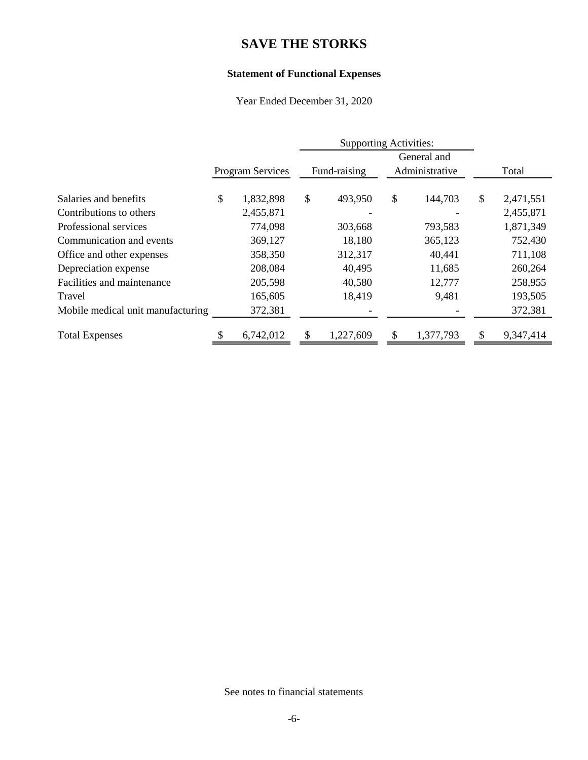### **Statement of Functional Expenses**

Year Ended December 31, 2020

|                                   |                         | <b>Supporting Activities:</b> |              |    |                |                 |
|-----------------------------------|-------------------------|-------------------------------|--------------|----|----------------|-----------------|
|                                   |                         |                               |              |    | General and    |                 |
|                                   | <b>Program Services</b> |                               | Fund-raising |    | Administrative | Total           |
| Salaries and benefits             | \$<br>1,832,898         | \$                            | 493,950      | \$ | 144,703        | \$<br>2,471,551 |
| Contributions to others           | 2,455,871               |                               |              |    |                | 2,455,871       |
| Professional services             | 774,098                 |                               | 303,668      |    | 793,583        | 1,871,349       |
| Communication and events          | 369,127                 |                               | 18,180       |    | 365,123        | 752,430         |
| Office and other expenses         | 358,350                 |                               | 312,317      |    | 40,441         | 711,108         |
| Depreciation expense              | 208,084                 |                               | 40,495       |    | 11,685         | 260,264         |
| Facilities and maintenance        | 205,598                 |                               | 40,580       |    | 12,777         | 258,955         |
| Travel                            | 165,605                 |                               | 18,419       |    | 9,481          | 193,505         |
| Mobile medical unit manufacturing | 372,381                 |                               |              |    |                | 372,381         |
| <b>Total Expenses</b>             | 6,742,012               |                               | 1,227,609    | \$ | 1,377,793      | \$<br>9,347,414 |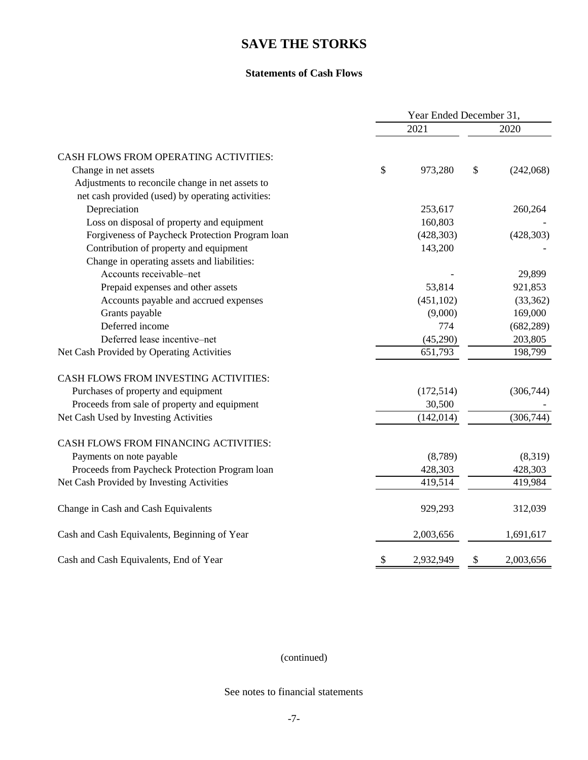#### **Statements of Cash Flows**

|                                                   | Year Ended December 31, |            |    |            |
|---------------------------------------------------|-------------------------|------------|----|------------|
|                                                   |                         | 2021       |    | 2020       |
| CASH FLOWS FROM OPERATING ACTIVITIES:             |                         |            |    |            |
| Change in net assets                              | \$                      | 973,280    | \$ | (242,068)  |
| Adjustments to reconcile change in net assets to  |                         |            |    |            |
| net cash provided (used) by operating activities: |                         |            |    |            |
| Depreciation                                      |                         | 253,617    |    | 260,264    |
| Loss on disposal of property and equipment        |                         | 160,803    |    |            |
| Forgiveness of Paycheck Protection Program loan   |                         | (428, 303) |    | (428, 303) |
| Contribution of property and equipment            |                         | 143,200    |    |            |
| Change in operating assets and liabilities:       |                         |            |    |            |
| Accounts receivable-net                           |                         |            |    | 29,899     |
| Prepaid expenses and other assets                 |                         | 53,814     |    | 921,853    |
| Accounts payable and accrued expenses             |                         | (451, 102) |    | (33,362)   |
| Grants payable                                    |                         | (9,000)    |    | 169,000    |
| Deferred income                                   |                         | 774        |    | (682, 289) |
| Deferred lease incentive-net                      |                         | (45,290)   |    | 203,805    |
| Net Cash Provided by Operating Activities         |                         | 651,793    |    | 198,799    |
| CASH FLOWS FROM INVESTING ACTIVITIES:             |                         |            |    |            |
| Purchases of property and equipment               |                         | (172, 514) |    | (306, 744) |
| Proceeds from sale of property and equipment      |                         | 30,500     |    |            |
| Net Cash Used by Investing Activities             |                         | (142, 014) |    | (306, 744) |
| CASH FLOWS FROM FINANCING ACTIVITIES:             |                         |            |    |            |
| Payments on note payable                          |                         | (8,789)    |    | (8,319)    |
| Proceeds from Paycheck Protection Program loan    |                         | 428,303    |    | 428,303    |
| Net Cash Provided by Investing Activities         |                         | 419,514    |    | 419,984    |
| Change in Cash and Cash Equivalents               |                         | 929,293    |    | 312,039    |
| Cash and Cash Equivalents, Beginning of Year      |                         | 2,003,656  |    | 1,691,617  |
| Cash and Cash Equivalents, End of Year            | \$                      | 2,932,949  | \$ | 2,003,656  |

(continued)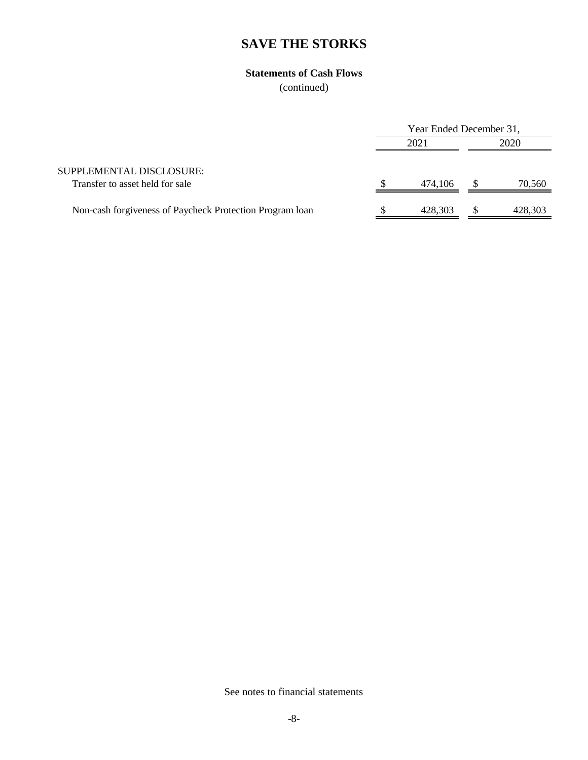### **Statements of Cash Flows**

(continued)

|                                                             | Year Ended December 31, |         |      |         |
|-------------------------------------------------------------|-------------------------|---------|------|---------|
|                                                             | 2021                    |         | 2020 |         |
| SUPPLEMENTAL DISCLOSURE:<br>Transfer to asset held for sale |                         | 474.106 |      | 70,560  |
| Non-cash forgiveness of Paycheck Protection Program Ioan    |                         | 428,303 |      | 428,303 |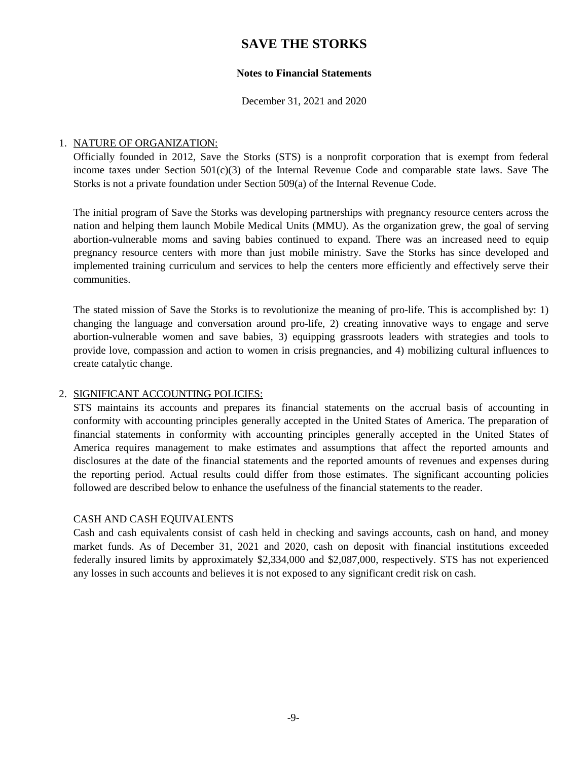#### **Notes to Financial Statements**

December 31, 2021 and 2020

#### 1. NATURE OF ORGANIZATION:

Officially founded in 2012, Save the Storks (STS) is a nonprofit corporation that is exempt from federal income taxes under Section  $501(c)(3)$  of the Internal Revenue Code and comparable state laws. Save The Storks is not a private foundation under Section 509(a) of the Internal Revenue Code.

The initial program of Save the Storks was developing partnerships with pregnancy resource centers across the nation and helping them launch Mobile Medical Units (MMU). As the organization grew, the goal of serving abortion-vulnerable moms and saving babies continued to expand. There was an increased need to equip pregnancy resource centers with more than just mobile ministry. Save the Storks has since developed and implemented training curriculum and services to help the centers more efficiently and effectively serve their communities.

The stated mission of Save the Storks is to revolutionize the meaning of pro-life. This is accomplished by: 1) changing the language and conversation around pro-life, 2) creating innovative ways to engage and serve abortion-vulnerable women and save babies, 3) equipping grassroots leaders with strategies and tools to provide love, compassion and action to women in crisis pregnancies, and 4) mobilizing cultural influences to create catalytic change.

#### 2. SIGNIFICANT ACCOUNTING POLICIES:

STS maintains its accounts and prepares its financial statements on the accrual basis of accounting in conformity with accounting principles generally accepted in the United States of America. The preparation of financial statements in conformity with accounting principles generally accepted in the United States of America requires management to make estimates and assumptions that affect the reported amounts and disclosures at the date of the financial statements and the reported amounts of revenues and expenses during the reporting period. Actual results could differ from those estimates. The significant accounting policies followed are described below to enhance the usefulness of the financial statements to the reader.

#### CASH AND CASH EQUIVALENTS

Cash and cash equivalents consist of cash held in checking and savings accounts, cash on hand, and money market funds. As of December 31, 2021 and 2020, cash on deposit with financial institutions exceeded federally insured limits by approximately \$2,334,000 and \$2,087,000, respectively. STS has not experienced any losses in such accounts and believes it is not exposed to any significant credit risk on cash.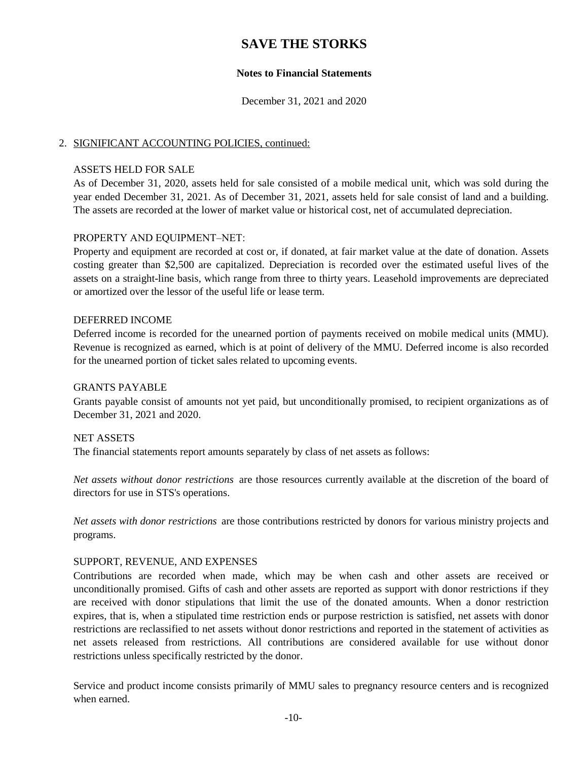#### **Notes to Financial Statements**

December 31, 2021 and 2020

#### 2. SIGNIFICANT ACCOUNTING POLICIES, continued:

#### ASSETS HELD FOR SALE

As of December 31, 2020, assets held for sale consisted of a mobile medical unit, which was sold during the year ended December 31, 2021. As of December 31, 2021, assets held for sale consist of land and a building. The assets are recorded at the lower of market value or historical cost, net of accumulated depreciation.

#### PROPERTY AND EQUIPMENT–NET:

Property and equipment are recorded at cost or, if donated, at fair market value at the date of donation. Assets costing greater than \$2,500 are capitalized. Depreciation is recorded over the estimated useful lives of the assets on a straight-line basis, which range from three to thirty years. Leasehold improvements are depreciated or amortized over the lessor of the useful life or lease term.

#### DEFERRED INCOME

Deferred income is recorded for the unearned portion of payments received on mobile medical units (MMU). Revenue is recognized as earned, which is at point of delivery of the MMU. Deferred income is also recorded for the unearned portion of ticket sales related to upcoming events.

#### GRANTS PAYABLE

Grants payable consist of amounts not yet paid, but unconditionally promised, to recipient organizations as of December 31, 2021 and 2020.

#### NET ASSETS

The financial statements report amounts separately by class of net assets as follows:

*Net assets without donor restrictions* are those resources currently available at the discretion of the board of directors for use in STS's operations.

*Net assets with donor restrictions* are those contributions restricted by donors for various ministry projects and programs.

#### SUPPORT, REVENUE, AND EXPENSES

Contributions are recorded when made, which may be when cash and other assets are received or unconditionally promised. Gifts of cash and other assets are reported as support with donor restrictions if they are received with donor stipulations that limit the use of the donated amounts. When a donor restriction expires, that is, when a stipulated time restriction ends or purpose restriction is satisfied, net assets with donor restrictions are reclassified to net assets without donor restrictions and reported in the statement of activities as net assets released from restrictions. All contributions are considered available for use without donor restrictions unless specifically restricted by the donor.

Service and product income consists primarily of MMU sales to pregnancy resource centers and is recognized when earned.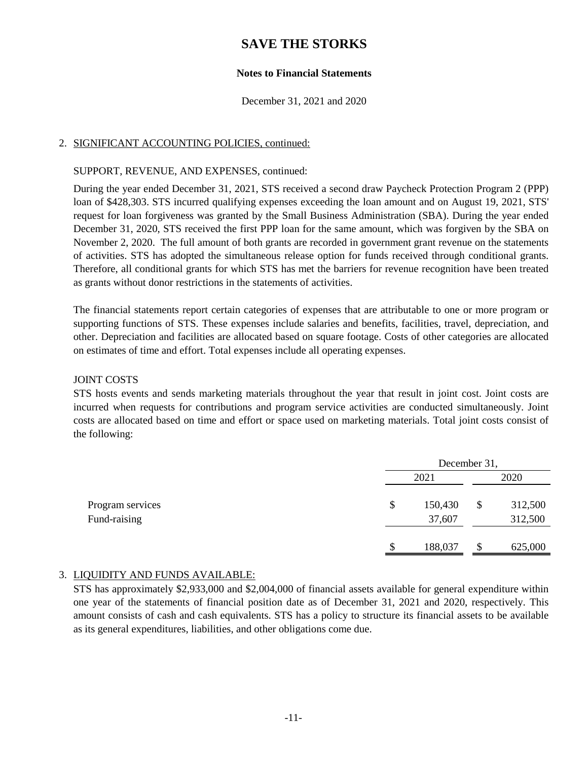#### **Notes to Financial Statements**

December 31, 2021 and 2020

#### 2. SIGNIFICANT ACCOUNTING POLICIES, continued:

#### SUPPORT, REVENUE, AND EXPENSES, continued:

During the year ended December 31, 2021, STS received a second draw Paycheck Protection Program 2 (PPP) loan of \$428,303. STS incurred qualifying expenses exceeding the loan amount and on August 19, 2021, STS' request for loan forgiveness was granted by the Small Business Administration (SBA). During the year ended December 31, 2020, STS received the first PPP loan for the same amount, which was forgiven by the SBA on November 2, 2020. The full amount of both grants are recorded in government grant revenue on the statements of activities. STS has adopted the simultaneous release option for funds received through conditional grants. Therefore, all conditional grants for which STS has met the barriers for revenue recognition have been treated as grants without donor restrictions in the statements of activities.

The financial statements report certain categories of expenses that are attributable to one or more program or supporting functions of STS. These expenses include salaries and benefits, facilities, travel, depreciation, and other. Depreciation and facilities are allocated based on square footage. Costs of other categories are allocated on estimates of time and effort. Total expenses include all operating expenses.

#### JOINT COSTS

STS hosts events and sends marketing materials throughout the year that result in joint cost. Joint costs are incurred when requests for contributions and program service activities are conducted simultaneously. Joint costs are allocated based on time and effort or space used on marketing materials. Total joint costs consist of the following:

|                                  |      | December 31,      |    |                    |  |
|----------------------------------|------|-------------------|----|--------------------|--|
|                                  | 2021 |                   |    | 2020               |  |
| Program services<br>Fund-raising | \$   | 150,430<br>37,607 | \$ | 312,500<br>312,500 |  |
|                                  | S.   | 188,037           | S  | 625,000            |  |

#### 3. LIQUIDITY AND FUNDS AVAILABLE:

STS has approximately \$2,933,000 and \$2,004,000 of financial assets available for general expenditure within one year of the statements of financial position date as of December 31, 2021 and 2020, respectively. This amount consists of cash and cash equivalents. STS has a policy to structure its financial assets to be available as its general expenditures, liabilities, and other obligations come due.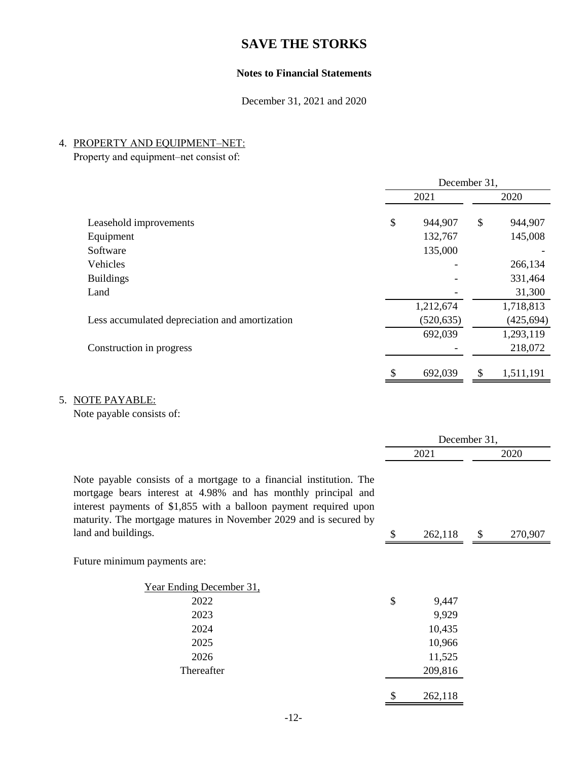### **Notes to Financial Statements**

December 31, 2021 and 2020

### 4. PROPERTY AND EQUIPMENT–NET:

Property and equipment–net consist of:

|                                                | December 31, |            |    |            |
|------------------------------------------------|--------------|------------|----|------------|
|                                                | 2021         |            |    | 2020       |
| Leasehold improvements                         | \$           | 944,907    | \$ | 944,907    |
| Equipment                                      |              | 132,767    |    | 145,008    |
| Software                                       |              | 135,000    |    |            |
| Vehicles                                       |              |            |    | 266,134    |
| <b>Buildings</b>                               |              |            |    | 331,464    |
| Land                                           |              |            |    | 31,300     |
|                                                |              | 1,212,674  |    | 1,718,813  |
| Less accumulated depreciation and amortization |              | (520, 635) |    | (425, 694) |
|                                                |              | 692,039    |    | 1,293,119  |
| Construction in progress                       |              |            |    | 218,072    |
|                                                | \$           | 692,039    | \$ | 1,511,191  |

### 5. NOTE PAYABLE:

Note payable consists of:

|                                                                                                                                                                                                                                                                                 | December 31, |         |    |         |
|---------------------------------------------------------------------------------------------------------------------------------------------------------------------------------------------------------------------------------------------------------------------------------|--------------|---------|----|---------|
|                                                                                                                                                                                                                                                                                 | 2021         |         |    | 2020    |
| Note payable consists of a mortgage to a financial institution. The<br>mortgage bears interest at 4.98% and has monthly principal and<br>interest payments of \$1,855 with a balloon payment required upon<br>maturity. The mortgage matures in November 2029 and is secured by |              |         |    |         |
| land and buildings.                                                                                                                                                                                                                                                             | S            | 262,118 | \$ | 270,907 |
| Future minimum payments are:                                                                                                                                                                                                                                                    |              |         |    |         |
| <u>Year Ending December 31.</u>                                                                                                                                                                                                                                                 |              |         |    |         |
| 2022                                                                                                                                                                                                                                                                            | \$           | 9,447   |    |         |
| 2023                                                                                                                                                                                                                                                                            |              | 9,929   |    |         |
| 2024                                                                                                                                                                                                                                                                            |              | 10,435  |    |         |
| 2025                                                                                                                                                                                                                                                                            |              | 10,966  |    |         |
| 2026                                                                                                                                                                                                                                                                            |              | 11,525  |    |         |
| Thereafter                                                                                                                                                                                                                                                                      |              | 209,816 |    |         |
|                                                                                                                                                                                                                                                                                 | \$           | 262,118 |    |         |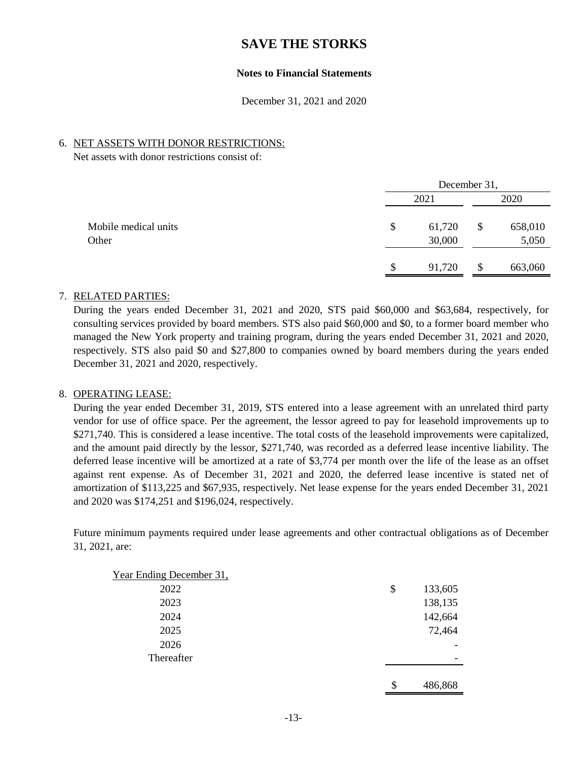#### **Notes to Financial Statements**

December 31, 2021 and 2020

#### 6. NET ASSETS WITH DONOR RESTRICTIONS:

Net assets with donor restrictions consist of:

|                               | December 31,           |    |                  |  |
|-------------------------------|------------------------|----|------------------|--|
|                               | 2021                   |    | 2020             |  |
| Mobile medical units<br>Other | \$<br>61,720<br>30,000 | \$ | 658,010<br>5,050 |  |
|                               | \$<br>91,720           | \$ | 663,060          |  |

#### 7. RELATED PARTIES:

During the years ended December 31, 2021 and 2020, STS paid \$60,000 and \$63,684, respectively, for consulting services provided by board members. STS also paid \$60,000 and \$0, to a former board member who managed the New York property and training program, during the years ended December 31, 2021 and 2020, respectively. STS also paid \$0 and \$27,800 to companies owned by board members during the years ended December 31, 2021 and 2020, respectively.

#### 8. OPERATING LEASE:

During the year ended December 31, 2019, STS entered into a lease agreement with an unrelated third party vendor for use of office space. Per the agreement, the lessor agreed to pay for leasehold improvements up to \$271,740. This is considered a lease incentive. The total costs of the leasehold improvements were capitalized, and the amount paid directly by the lessor, \$271,740, was recorded as a deferred lease incentive liability. The deferred lease incentive will be amortized at a rate of \$3,774 per month over the life of the lease as an offset against rent expense. As of December 31, 2021 and 2020, the deferred lease incentive is stated net of amortization of \$113,225 and \$67,935, respectively. Net lease expense for the years ended December 31, 2021 and 2020 was \$174,251 and \$196,024, respectively.

Future minimum payments required under lease agreements and other contractual obligations as of December 31, 2021, are:

| Year Ending December 31, |    |         |
|--------------------------|----|---------|
| 2022                     | \$ | 133,605 |
| 2023                     |    | 138,135 |
| 2024                     |    | 142,664 |
| 2025                     |    | 72,464  |
| 2026                     |    | -       |
| Thereafter               |    | -       |
|                          |    |         |
|                          | S. | 486.868 |